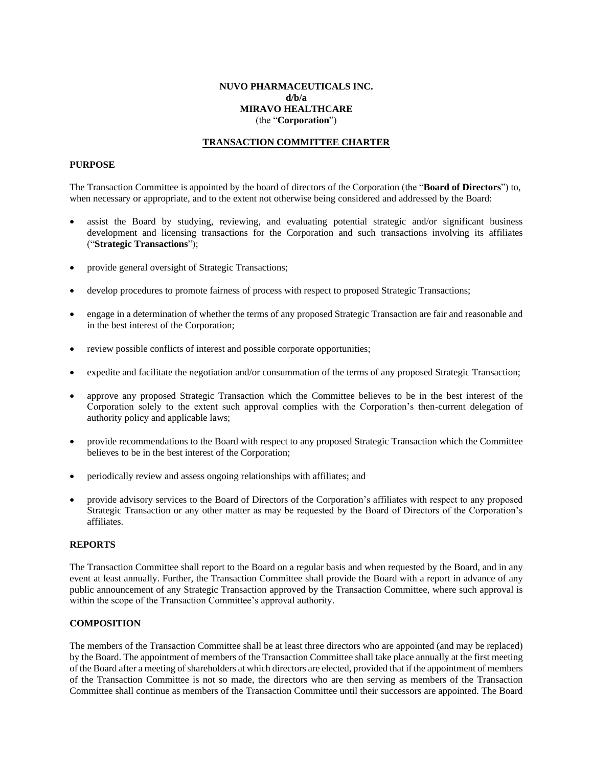# **NUVO PHARMACEUTICALS INC. d/b/a MIRAVO HEALTHCARE** (the "**Corporation**")

## **TRANSACTION COMMITTEE CHARTER**

## **PURPOSE**

The Transaction Committee is appointed by the board of directors of the Corporation (the "**Board of Directors**") to, when necessary or appropriate, and to the extent not otherwise being considered and addressed by the Board:

- assist the Board by studying, reviewing, and evaluating potential strategic and/or significant business development and licensing transactions for the Corporation and such transactions involving its affiliates ("**Strategic Transactions**");
- provide general oversight of Strategic Transactions;
- develop procedures to promote fairness of process with respect to proposed Strategic Transactions;
- engage in a determination of whether the terms of any proposed Strategic Transaction are fair and reasonable and in the best interest of the Corporation;
- review possible conflicts of interest and possible corporate opportunities;
- expedite and facilitate the negotiation and/or consummation of the terms of any proposed Strategic Transaction;
- approve any proposed Strategic Transaction which the Committee believes to be in the best interest of the Corporation solely to the extent such approval complies with the Corporation's then-current delegation of authority policy and applicable laws;
- provide recommendations to the Board with respect to any proposed Strategic Transaction which the Committee believes to be in the best interest of the Corporation;
- periodically review and assess ongoing relationships with affiliates; and
- provide advisory services to the Board of Directors of the Corporation's affiliates with respect to any proposed Strategic Transaction or any other matter as may be requested by the Board of Directors of the Corporation's affiliates.

#### **REPORTS**

The Transaction Committee shall report to the Board on a regular basis and when requested by the Board, and in any event at least annually. Further, the Transaction Committee shall provide the Board with a report in advance of any public announcement of any Strategic Transaction approved by the Transaction Committee, where such approval is within the scope of the Transaction Committee's approval authority.

#### **COMPOSITION**

The members of the Transaction Committee shall be at least three directors who are appointed (and may be replaced) by the Board. The appointment of members of the Transaction Committee shall take place annually at the first meeting of the Board after a meeting of shareholders at which directors are elected, provided that if the appointment of members of the Transaction Committee is not so made, the directors who are then serving as members of the Transaction Committee shall continue as members of the Transaction Committee until their successors are appointed. The Board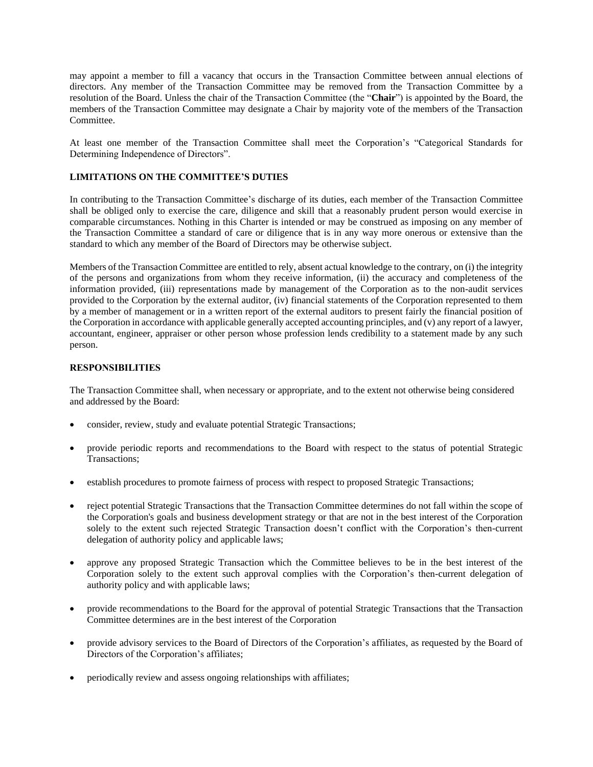may appoint a member to fill a vacancy that occurs in the Transaction Committee between annual elections of directors. Any member of the Transaction Committee may be removed from the Transaction Committee by a resolution of the Board. Unless the chair of the Transaction Committee (the "**Chair**") is appointed by the Board, the members of the Transaction Committee may designate a Chair by majority vote of the members of the Transaction Committee.

At least one member of the Transaction Committee shall meet the Corporation's "Categorical Standards for Determining Independence of Directors".

# **LIMITATIONS ON THE COMMITTEE'S DUTIES**

In contributing to the Transaction Committee's discharge of its duties, each member of the Transaction Committee shall be obliged only to exercise the care, diligence and skill that a reasonably prudent person would exercise in comparable circumstances. Nothing in this Charter is intended or may be construed as imposing on any member of the Transaction Committee a standard of care or diligence that is in any way more onerous or extensive than the standard to which any member of the Board of Directors may be otherwise subject.

Members of the Transaction Committee are entitled to rely, absent actual knowledge to the contrary, on (i) the integrity of the persons and organizations from whom they receive information, (ii) the accuracy and completeness of the information provided, (iii) representations made by management of the Corporation as to the non-audit services provided to the Corporation by the external auditor, (iv) financial statements of the Corporation represented to them by a member of management or in a written report of the external auditors to present fairly the financial position of the Corporation in accordance with applicable generally accepted accounting principles, and (v) any report of a lawyer, accountant, engineer, appraiser or other person whose profession lends credibility to a statement made by any such person.

# **RESPONSIBILITIES**

The Transaction Committee shall, when necessary or appropriate, and to the extent not otherwise being considered and addressed by the Board:

- consider, review, study and evaluate potential Strategic Transactions;
- provide periodic reports and recommendations to the Board with respect to the status of potential Strategic Transactions;
- establish procedures to promote fairness of process with respect to proposed Strategic Transactions;
- reject potential Strategic Transactions that the Transaction Committee determines do not fall within the scope of the Corporation's goals and business development strategy or that are not in the best interest of the Corporation solely to the extent such rejected Strategic Transaction doesn't conflict with the Corporation's then-current delegation of authority policy and applicable laws;
- approve any proposed Strategic Transaction which the Committee believes to be in the best interest of the Corporation solely to the extent such approval complies with the Corporation's then-current delegation of authority policy and with applicable laws;
- provide recommendations to the Board for the approval of potential Strategic Transactions that the Transaction Committee determines are in the best interest of the Corporation
- provide advisory services to the Board of Directors of the Corporation's affiliates, as requested by the Board of Directors of the Corporation's affiliates;
- periodically review and assess ongoing relationships with affiliates;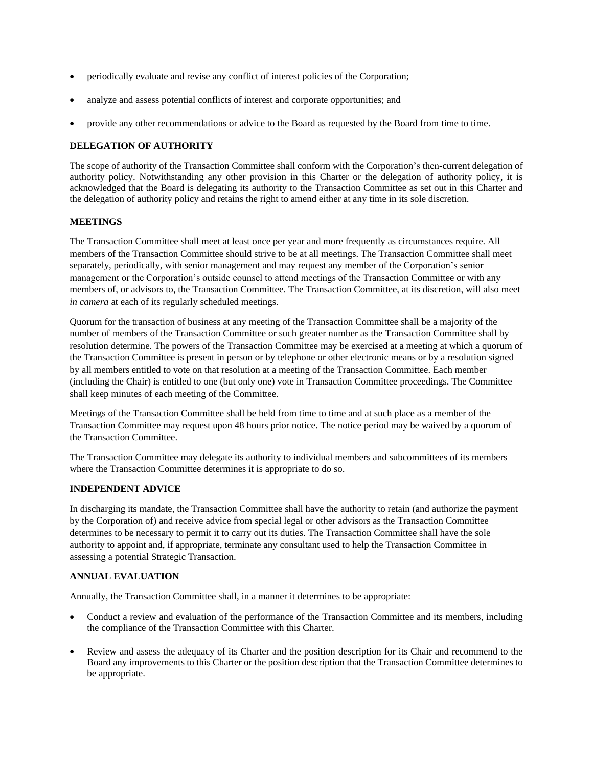- periodically evaluate and revise any conflict of interest policies of the Corporation;
- analyze and assess potential conflicts of interest and corporate opportunities; and
- provide any other recommendations or advice to the Board as requested by the Board from time to time.

# **DELEGATION OF AUTHORITY**

The scope of authority of the Transaction Committee shall conform with the Corporation's then-current delegation of authority policy. Notwithstanding any other provision in this Charter or the delegation of authority policy, it is acknowledged that the Board is delegating its authority to the Transaction Committee as set out in this Charter and the delegation of authority policy and retains the right to amend either at any time in its sole discretion.

# **MEETINGS**

The Transaction Committee shall meet at least once per year and more frequently as circumstances require. All members of the Transaction Committee should strive to be at all meetings. The Transaction Committee shall meet separately, periodically, with senior management and may request any member of the Corporation's senior management or the Corporation's outside counsel to attend meetings of the Transaction Committee or with any members of, or advisors to, the Transaction Committee. The Transaction Committee, at its discretion, will also meet *in camera* at each of its regularly scheduled meetings.

Quorum for the transaction of business at any meeting of the Transaction Committee shall be a majority of the number of members of the Transaction Committee or such greater number as the Transaction Committee shall by resolution determine. The powers of the Transaction Committee may be exercised at a meeting at which a quorum of the Transaction Committee is present in person or by telephone or other electronic means or by a resolution signed by all members entitled to vote on that resolution at a meeting of the Transaction Committee. Each member (including the Chair) is entitled to one (but only one) vote in Transaction Committee proceedings. The Committee shall keep minutes of each meeting of the Committee.

Meetings of the Transaction Committee shall be held from time to time and at such place as a member of the Transaction Committee may request upon 48 hours prior notice. The notice period may be waived by a quorum of the Transaction Committee.

The Transaction Committee may delegate its authority to individual members and subcommittees of its members where the Transaction Committee determines it is appropriate to do so.

#### **INDEPENDENT ADVICE**

In discharging its mandate, the Transaction Committee shall have the authority to retain (and authorize the payment by the Corporation of) and receive advice from special legal or other advisors as the Transaction Committee determines to be necessary to permit it to carry out its duties. The Transaction Committee shall have the sole authority to appoint and, if appropriate, terminate any consultant used to help the Transaction Committee in assessing a potential Strategic Transaction.

## **ANNUAL EVALUATION**

Annually, the Transaction Committee shall, in a manner it determines to be appropriate:

- Conduct a review and evaluation of the performance of the Transaction Committee and its members, including the compliance of the Transaction Committee with this Charter.
- Review and assess the adequacy of its Charter and the position description for its Chair and recommend to the Board any improvements to this Charter or the position description that the Transaction Committee determines to be appropriate.